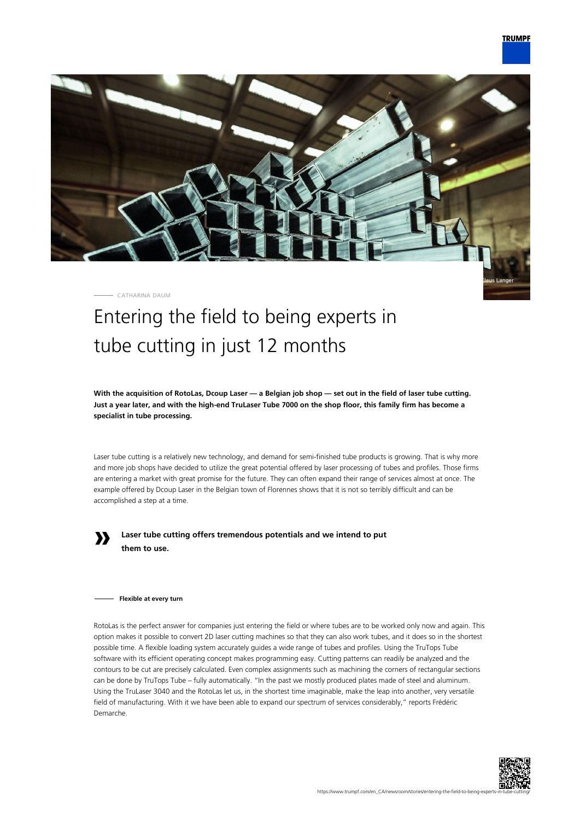

CATHARINA DAUM

# Entering the field to being experts in tube cutting in just 12 months

**With the acquisition of RotoLas, Dcoup Laser — a Belgian job shop — set out in the field of laser tube cutting. Just a year later, and with the high-end TruLaser Tube 7000 on the shop floor, this family firm has become a specialist in tube processing.**

Laser tube cutting is a relatively new technology, and demand for semi-finished tube products is growing. That is why more and more job shops have decided to utilize the great potential offered by laser processing of tubes and profiles. Those firms are entering a market with great promise for the future. They can often expand their range of services almost at once. The example offered by Dcoup Laser in the Belgian town of Florennes shows that it is not so terribly difficult and can be accomplished a step at a time.



**Laser tube cutting offers tremendous potentials and we intend to put them to use.**

#### **Flexible at every turn**

RotoLas is the perfect answer for companies just entering the field or where tubes are to be worked only now and again. This option makes it possible to convert 2D laser cutting machines so that they can also work tubes, and it does so in the shortest possible time. A flexible loading system accurately guides a wide range of tubes and profiles. Using the TruTops Tube software with its efficient operating concept makes programming easy. Cutting patterns can readily be analyzed and the contours to be cut are precisely calculated. Even complex assignments such as machining the corners of rectangular sections can be done by TruTops Tube – fully automatically. "In the past we mostly produced plates made of steel and aluminum. Using the TruLaser 3040 and the RotoLas let us, in the shortest time imaginable, make the leap into another, very versatile field of manufacturing. With it we have been able to expand our spectrum of services considerably," reports Frédéric Demarche.

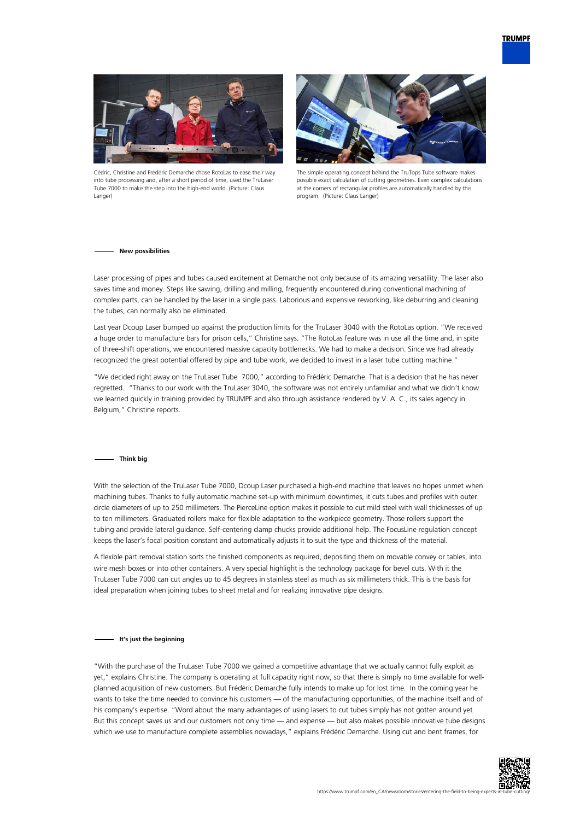



Cédric, Christine and Frédéric Demarche chose RotoLas to ease their way into tube processing and, after a short period of time, used the TruLaser Tube 7000 to make the step into the high-end world. (Picture: Claus Langer)



The simple operating concept behind the TruTops Tube software makes possible exact calculation of cutting geometries. Even complex calculations at the corners of rectangular profiles are automatically handled by this program. (Picture: Claus Langer)

#### **New possibilities**

Laser processing of pipes and tubes caused excitement at Demarche not only because of its amazing versatility. The laser also saves time and money. Steps like sawing, drilling and milling, frequently encountered during conventional machining of complex parts, can be handled by the laser in a single pass. Laborious and expensive reworking, like deburring and cleaning the tubes, can normally also be eliminated.

Last year Dcoup Laser bumped up against the production limits for the TruLaser 3040 with the RotoLas option. "We received a huge order to manufacture bars for prison cells," Christine says. "The RotoLas feature was in use all the time and, in spite of three-shift operations, we encountered massive capacity bottlenecks. We had to make a decision. Since we had already recognized the great potential offered by pipe and tube work, we decided to invest in a laser tube cutting machine."

"We decided right away on the TruLaser Tube 7000," according to Frédéric Demarche. That is a decision that he has never regretted. "Thanks to our work with the TruLaser 3040, the software was not entirely unfamiliar and what we didn't know we learned quickly in training provided by TRUMPF and also through assistance rendered by V. A. C., its sales agency in Belgium," Christine reports.

#### **Think big**

With the selection of the TruLaser Tube 7000, Dcoup Laser purchased a high-end machine that leaves no hopes unmet when machining tubes. Thanks to fully automatic machine set-up with minimum downtimes, it cuts tubes and profiles with outer circle diameters of up to 250 millimeters. The PierceLine option makes it possible to cut mild steel with wall thicknesses of up to ten millimeters. Graduated rollers make for flexible adaptation to the workpiece geometry. Those rollers support the tubing and provide lateral guidance. Self-centering clamp chucks provide additional help. The FocusLine regulation concept keeps the laser's focal position constant and automatically adjusts it to suit the type and thickness of the material.

A flexible part removal station sorts the finished components as required, depositing them on movable convey or tables, into wire mesh boxes or into other containers. A very special highlight is the technology package for bevel cuts. With it the TruLaser Tube 7000 can cut angles up to 45 degrees in stainless steel as much as six millimeters thick. This is the basis for ideal preparation when joining tubes to sheet metal and for realizing innovative pipe designs.

#### **It's just the beginning**

"With the purchase of the TruLaser Tube 7000 we gained a competitive advantage that we actually cannot fully exploit as yet," explains Christine. The company is operating at full capacity right now, so that there is simply no time available for wellplanned acquisition of new customers. But Frédéric Demarche fully intends to make up for lost time. In the coming year he wants to take the time needed to convince his customers — of the manufacturing opportunities, of the machine itself and of his company's expertise. "Word about the many advantages of using lasers to cut tubes simply has not gotten around yet. But this concept saves us and our customers not only time — and expense — but also makes possible innovative tube designs which we use to manufacture complete assemblies nowadays," explains Frédéric Demarche. Using cut and bent frames, for